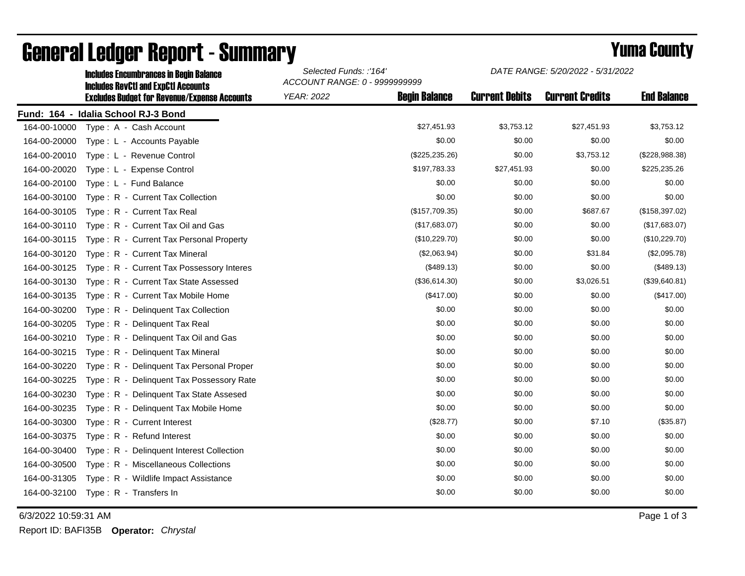|              | <b>Includes Encumbrances in Begin Balance</b><br><b>Includes RevCtI and ExpCtI Accounts</b><br><b>Excludes Budget for Revenue/Expense Accounts</b> | Selected Funds: :'164'<br>ACCOUNT RANGE: 0 - 9999999999 |                      | DATE RANGE: 5/20/2022 - 5/31/2022 |                        |                    |
|--------------|----------------------------------------------------------------------------------------------------------------------------------------------------|---------------------------------------------------------|----------------------|-----------------------------------|------------------------|--------------------|
|              |                                                                                                                                                    | <b>YEAR: 2022</b>                                       | <b>Begin Balance</b> | <b>Current Debits</b>             | <b>Current Credits</b> | <b>End Balance</b> |
|              | Fund: 164 - Idalia School RJ-3 Bond                                                                                                                |                                                         |                      |                                   |                        |                    |
| 164-00-10000 | Type: A - Cash Account                                                                                                                             |                                                         | \$27,451.93          | \$3,753.12                        | \$27,451.93            | \$3,753.12         |
| 164-00-20000 | Type: L - Accounts Payable                                                                                                                         |                                                         | \$0.00               | \$0.00                            | \$0.00                 | \$0.00             |
| 164-00-20010 | Type: L - Revenue Control                                                                                                                          |                                                         | (\$225, 235.26)      | \$0.00                            | \$3,753.12             | (\$228,988.38)     |
| 164-00-20020 | Type: L - Expense Control                                                                                                                          |                                                         | \$197,783.33         | \$27,451.93                       | \$0.00                 | \$225,235.26       |
| 164-00-20100 | Type: L - Fund Balance                                                                                                                             |                                                         | \$0.00               | \$0.00                            | \$0.00                 | \$0.00             |
| 164-00-30100 | Type: R - Current Tax Collection                                                                                                                   |                                                         | \$0.00               | \$0.00                            | \$0.00                 | \$0.00             |
| 164-00-30105 | Type: R - Current Tax Real                                                                                                                         |                                                         | (\$157,709.35)       | \$0.00                            | \$687.67               | (\$158, 397.02)    |
| 164-00-30110 | Type: R - Current Tax Oil and Gas                                                                                                                  |                                                         | (\$17,683.07)        | \$0.00                            | \$0.00                 | (\$17,683.07)      |
| 164-00-30115 | Type: R - Current Tax Personal Property                                                                                                            |                                                         | (\$10,229.70)        | \$0.00                            | \$0.00                 | (\$10,229.70)      |
| 164-00-30120 | Type: R - Current Tax Mineral                                                                                                                      |                                                         | (\$2,063.94)         | \$0.00                            | \$31.84                | (\$2,095.78)       |
| 164-00-30125 | Type: R - Current Tax Possessory Interes                                                                                                           |                                                         | (\$489.13)           | \$0.00                            | \$0.00                 | (\$489.13)         |
| 164-00-30130 | Type: R - Current Tax State Assessed                                                                                                               |                                                         | (\$36,614.30)        | \$0.00                            | \$3,026.51             | (\$39,640.81)      |
| 164-00-30135 | Type: R - Current Tax Mobile Home                                                                                                                  |                                                         | (\$417.00)           | \$0.00                            | \$0.00                 | (\$417.00)         |
| 164-00-30200 | Type: R - Delinquent Tax Collection                                                                                                                |                                                         | \$0.00               | \$0.00                            | \$0.00                 | \$0.00             |
| 164-00-30205 | Type: R - Delinguent Tax Real                                                                                                                      |                                                         | \$0.00               | \$0.00                            | \$0.00                 | \$0.00             |
| 164-00-30210 | Type: R - Delinquent Tax Oil and Gas                                                                                                               |                                                         | \$0.00               | \$0.00                            | \$0.00                 | \$0.00             |
| 164-00-30215 | Type: R - Delinquent Tax Mineral                                                                                                                   |                                                         | \$0.00               | \$0.00                            | \$0.00                 | \$0.00             |
| 164-00-30220 | Type: R - Delinquent Tax Personal Proper                                                                                                           |                                                         | \$0.00               | \$0.00                            | \$0.00                 | \$0.00             |
| 164-00-30225 | Type: R - Delinquent Tax Possessory Rate                                                                                                           |                                                         | \$0.00               | \$0.00                            | \$0.00                 | \$0.00             |
| 164-00-30230 | Type: R - Delinquent Tax State Assesed                                                                                                             |                                                         | \$0.00               | \$0.00                            | \$0.00                 | \$0.00             |
| 164-00-30235 | Type: R - Delinquent Tax Mobile Home                                                                                                               |                                                         | \$0.00               | \$0.00                            | \$0.00                 | \$0.00             |
| 164-00-30300 | Type: R - Current Interest                                                                                                                         |                                                         | (\$28.77)            | \$0.00                            | \$7.10                 | (\$35.87)          |
| 164-00-30375 | Type: R - Refund Interest                                                                                                                          |                                                         | \$0.00               | \$0.00                            | \$0.00                 | \$0.00             |
| 164-00-30400 | Type: R - Delinquent Interest Collection                                                                                                           |                                                         | \$0.00               | \$0.00                            | \$0.00                 | \$0.00             |
| 164-00-30500 | Type: R - Miscellaneous Collections                                                                                                                |                                                         | \$0.00               | \$0.00                            | \$0.00                 | \$0.00             |
| 164-00-31305 | Type: R - Wildlife Impact Assistance                                                                                                               |                                                         | \$0.00               | \$0.00                            | \$0.00                 | \$0.00             |
| 164-00-32100 | Type: R - Transfers In                                                                                                                             |                                                         | \$0.00               | \$0.00                            | \$0.00                 | \$0.00             |

## General Ledger Report - Summary **Example 2018** Yuma County

6/3/2022 10:59:31 AM Page 1 of 3

Report ID: BAFI35B **Operator:** *Chrystal*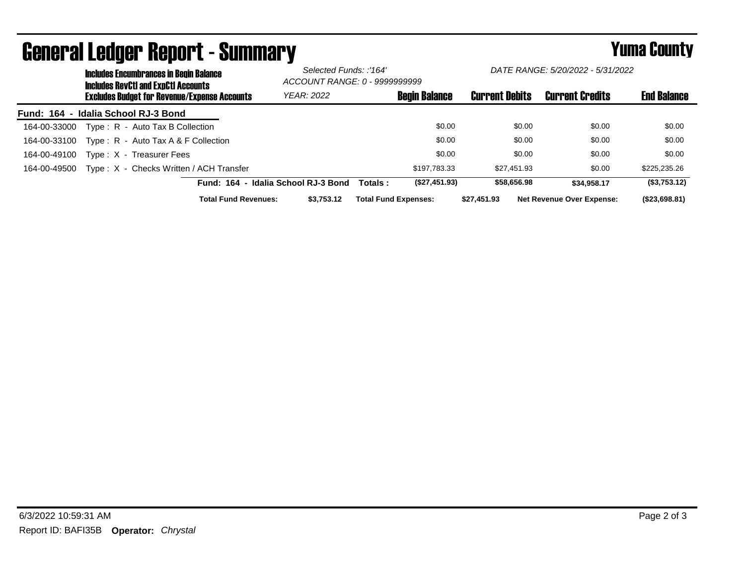|              | <b>Includes Encumbrances in Begin Balance</b><br><b>Includes RevCtI and ExpCtI Accounts</b><br><b>Excludes Budget for Revenue/Expense Accounts</b> |                             |                                     | Selected Funds: :'164'<br>ACCOUNT RANGE: 0 - 9999999999 |                             | DATE RANGE: 5/20/2022 - 5/31/2022 |                                  |                    |
|--------------|----------------------------------------------------------------------------------------------------------------------------------------------------|-----------------------------|-------------------------------------|---------------------------------------------------------|-----------------------------|-----------------------------------|----------------------------------|--------------------|
|              |                                                                                                                                                    |                             | YEAR: 2022                          |                                                         | <b>Begin Balance</b>        | <b>Current Debits</b>             | <b>Current Credits</b>           | <b>End Balance</b> |
|              | Fund: 164 - Idalia School RJ-3 Bond                                                                                                                |                             |                                     |                                                         |                             |                                   |                                  |                    |
| 164-00-33000 | Type: R - Auto Tax B Collection                                                                                                                    |                             |                                     |                                                         | \$0.00                      | \$0.00                            | \$0.00                           | \$0.00             |
| 164-00-33100 | Type: $R -$ Auto Tax A & F Collection                                                                                                              |                             |                                     |                                                         | \$0.00                      | \$0.00                            | \$0.00                           | \$0.00             |
| 164-00-49100 | Type: X - Treasurer Fees                                                                                                                           |                             |                                     |                                                         | \$0.00                      | \$0.00                            | \$0.00                           | \$0.00             |
| 164-00-49500 | Type: X - Checks Written / ACH Transfer                                                                                                            |                             |                                     |                                                         | \$197.783.33                | \$27.451.93                       | \$0.00                           | \$225,235.26       |
|              |                                                                                                                                                    |                             | Fund: 164 - Idalia School RJ-3 Bond | Totals :                                                | (\$27,451.93)               | \$58,656.98                       | \$34.958.17                      | (\$3,753.12)       |
|              |                                                                                                                                                    | <b>Total Fund Revenues:</b> | \$3.753.12                          |                                                         | <b>Total Fund Expenses:</b> | \$27.451.93                       | <b>Net Revenue Over Expense:</b> | (\$23,698.81)      |

## General Ledger Report - Summary **Example 2018** Yuma County